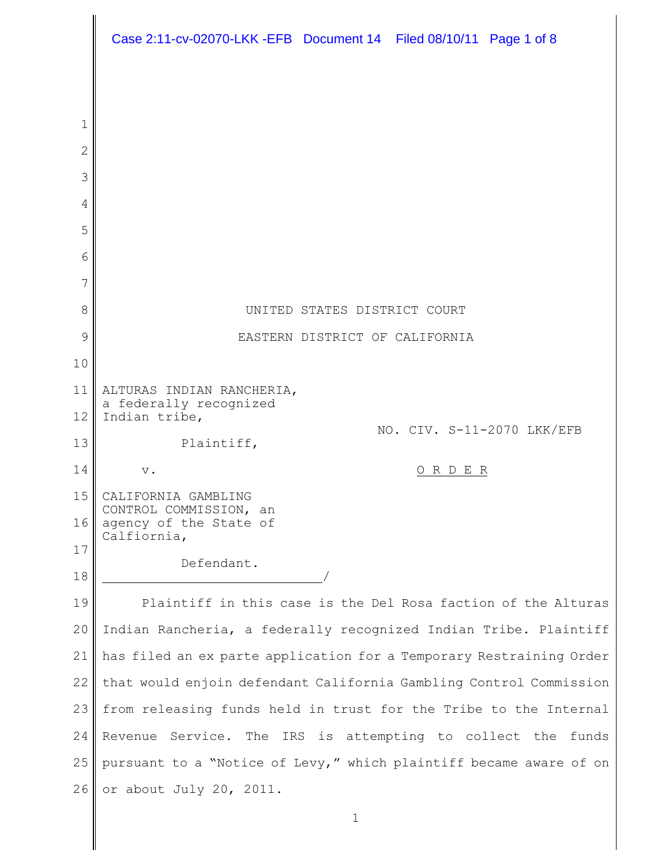|        | Case 2:11-cv-02070-LKK -EFB  Document 14  Filed 08/10/11  Page 1 of 8 |
|--------|-----------------------------------------------------------------------|
|        |                                                                       |
|        |                                                                       |
| 1      |                                                                       |
| 2      |                                                                       |
| 3      |                                                                       |
| 4      |                                                                       |
| 5      |                                                                       |
| 6<br>7 |                                                                       |
| 8      | UNITED STATES DISTRICT COURT                                          |
| 9      | EASTERN DISTRICT OF CALIFORNIA                                        |
| 10     |                                                                       |
| 11     | ALTURAS INDIAN RANCHERIA,                                             |
| 12     | a federally recognized<br>Indian tribe,                               |
| 13     | NO. CIV. S-11-2070 LKK/EFB<br>Plaintiff,                              |
| 14     | ORDER<br>$\mathbf v$ .                                                |
| 15     | CALIFORNIA GAMBLING                                                   |
| 16     | CONTROL COMMISSION, an<br>agency of the State of<br>Calfiornia,       |
| 17     | Defendant.                                                            |
| 18     |                                                                       |
| 19     | Plaintiff in this case is the Del Rosa faction of the Alturas         |
| 20     | Indian Rancheria, a federally recognized Indian Tribe. Plaintiff      |
| 21     | has filed an ex parte application for a Temporary Restraining Order   |
| 22     | that would enjoin defendant California Gambling Control Commission    |
| 23     | from releasing funds held in trust for the Tribe to the Internal      |
| 24     | Revenue Service. The IRS is attempting to collect the funds           |
| 25     | pursuant to a "Notice of Levy," which plaintiff became aware of on    |
| 26     | or about July 20, 2011.                                               |
|        | $1\,$                                                                 |
|        |                                                                       |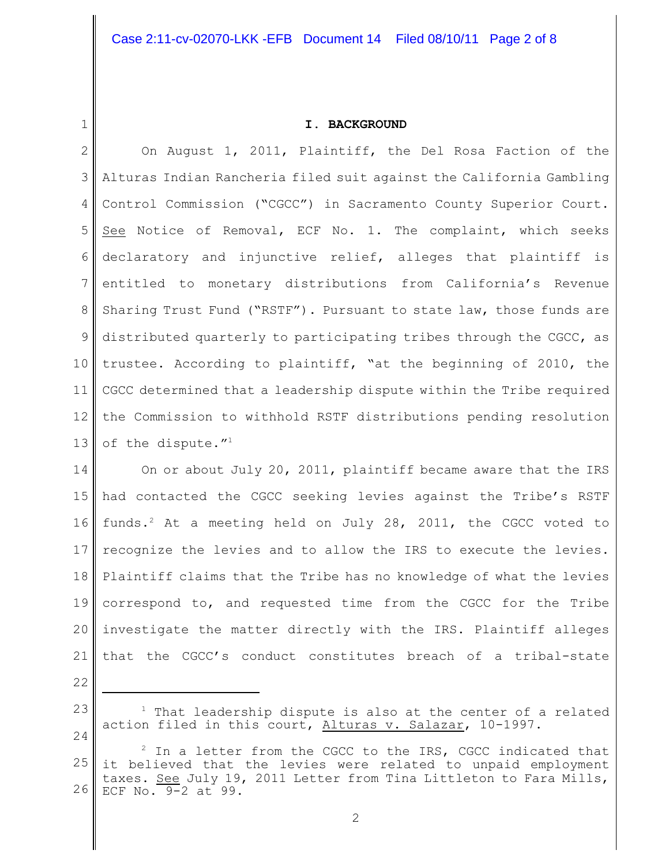1

## **I. BACKGROUND**

2 3 4 5 6 7 8 9 10 11 12 13 On August 1, 2011, Plaintiff, the Del Rosa Faction of the Alturas Indian Rancheria filed suit against the California Gambling Control Commission ("CGCC") in Sacramento County Superior Court. See Notice of Removal, ECF No. 1. The complaint, which seeks declaratory and injunctive relief, alleges that plaintiff is entitled to monetary distributions from California's Revenue Sharing Trust Fund ("RSTF"). Pursuant to state law, those funds are distributed quarterly to participating tribes through the CGCC, as trustee. According to plaintiff, "at the beginning of 2010, the CGCC determined that a leadership dispute within the Tribe required the Commission to withhold RSTF distributions pending resolution of the dispute."<sup>1</sup>

14 15 16 17 18 19 20 21 On or about July 20, 2011, plaintiff became aware that the IRS had contacted the CGCC seeking levies against the Tribe's RSTF funds.<sup>2</sup> At a meeting held on July 28, 2011, the CGCC voted to recognize the levies and to allow the IRS to execute the levies. Plaintiff claims that the Tribe has no knowledge of what the levies correspond to, and requested time from the CGCC for the Tribe investigate the matter directly with the IRS. Plaintiff alleges that the CGCC's conduct constitutes breach of a tribal-state

22

23

 $1$  That leadership dispute is also at the center of a related action filed in this court, Alturas v. Salazar, 10-1997.

<sup>25</sup> 26  $2$  In a letter from the CGCC to the IRS, CGCC indicated that it believed that the levies were related to unpaid employment taxes. See July 19, 2011 Letter from Tina Littleton to Fara Mills, ECF No. 9-2 at 99.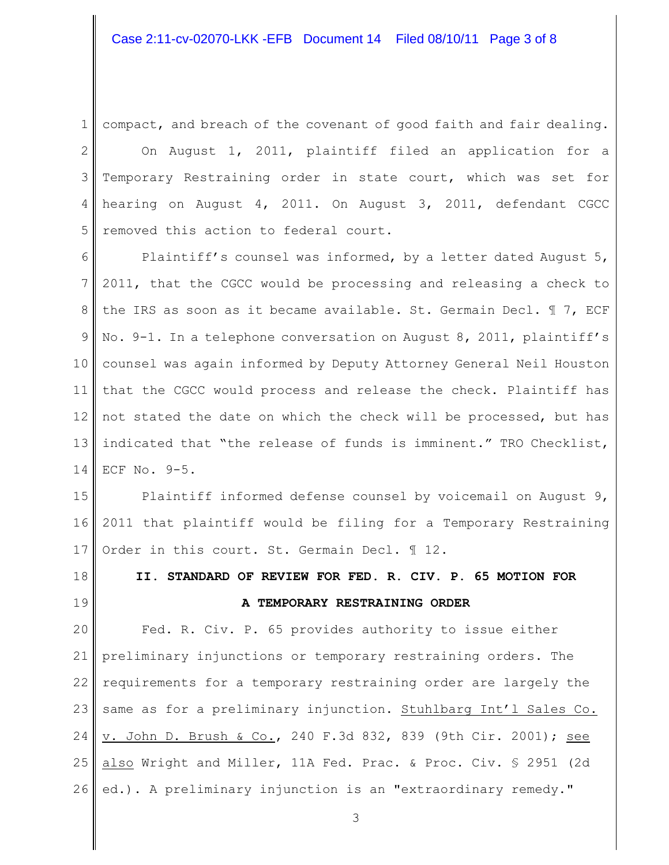1 compact, and breach of the covenant of good faith and fair dealing.

2 3 4 5 On August 1, 2011, plaintiff filed an application for a Temporary Restraining order in state court, which was set for hearing on August 4, 2011. On August 3, 2011, defendant CGCC removed this action to federal court.

6 7 8 9 10 11 12 13 14 Plaintiff's counsel was informed, by a letter dated August 5, 2011, that the CGCC would be processing and releasing a check to the IRS as soon as it became available. St. Germain Decl. ¶ 7, ECF No. 9-1. In a telephone conversation on August 8, 2011, plaintiff's counsel was again informed by Deputy Attorney General Neil Houston that the CGCC would process and release the check. Plaintiff has not stated the date on which the check will be processed, but has indicated that "the release of funds is imminent." TRO Checklist, ECF No. 9-5.

15 16 17 Plaintiff informed defense counsel by voicemail on August 9, 2011 that plaintiff would be filing for a Temporary Restraining Order in this court. St. Germain Decl. 112.

18 19 **II. STANDARD OF REVIEW FOR FED. R. CIV. P. 65 MOTION FOR A TEMPORARY RESTRAINING ORDER**

20 21 22 23 24 25 26 Fed. R. Civ. P. 65 provides authority to issue either preliminary injunctions or temporary restraining orders. The requirements for a temporary restraining order are largely the same as for a preliminary injunction. Stuhlbarg Int'l Sales Co. v. John D. Brush & Co., 240 F.3d 832, 839 (9th Cir. 2001); see also Wright and Miller, 11A Fed. Prac. & Proc. Civ. § 2951 (2d ed.). A preliminary injunction is an "extraordinary remedy."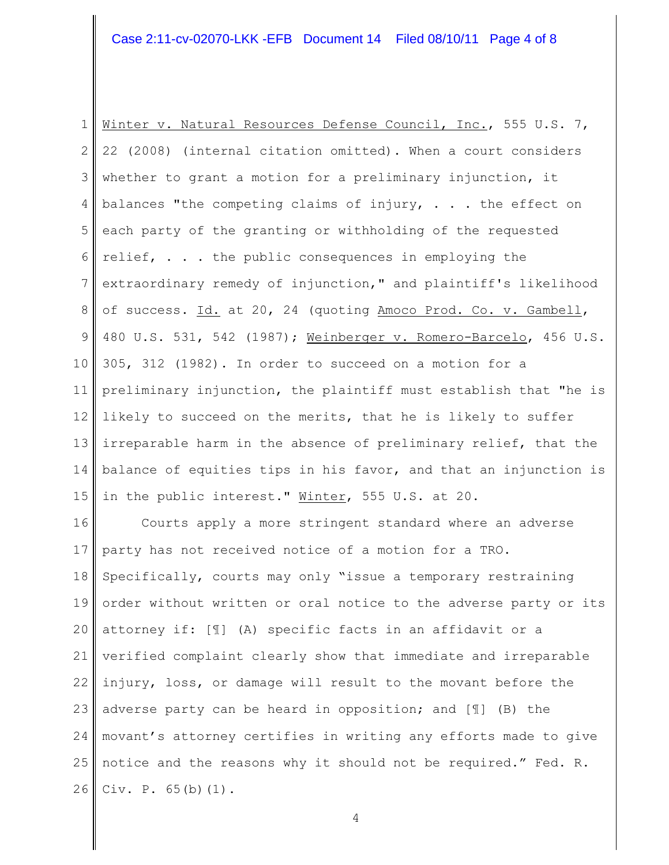# Case 2:11-cv-02070-LKK -EFB Document 14 Filed 08/10/11 Page 4 of 8

1 2 3 4 5 6 7 8 9 10 11 12 13 14 15 Winter v. Natural Resources Defense Council, Inc., 555 U.S. 7, 22 (2008) (internal citation omitted). When a court considers whether to grant a motion for a preliminary injunction, it balances "the competing claims of injury,  $\ldots$  the effect on each party of the granting or withholding of the requested relief, . . . the public consequences in employing the extraordinary remedy of injunction," and plaintiff's likelihood of success. Id. at 20, 24 (quoting Amoco Prod. Co. v. Gambell, 480 U.S. 531, 542 (1987); Weinberger v. Romero-Barcelo, 456 U.S. 305, 312 (1982). In order to succeed on a motion for a preliminary injunction, the plaintiff must establish that "he is likely to succeed on the merits, that he is likely to suffer irreparable harm in the absence of preliminary relief, that the balance of equities tips in his favor, and that an injunction is in the public interest." Winter, 555 U.S. at 20.

16 17 18 19 20 21 22 23 24 25 26 Courts apply a more stringent standard where an adverse party has not received notice of a motion for a TRO. Specifically, courts may only "issue a temporary restraining order without written or oral notice to the adverse party or its attorney if: [¶] (A) specific facts in an affidavit or a verified complaint clearly show that immediate and irreparable injury, loss, or damage will result to the movant before the adverse party can be heard in opposition; and [¶] (B) the movant's attorney certifies in writing any efforts made to give notice and the reasons why it should not be required." Fed. R. Civ. P. 65(b)(1).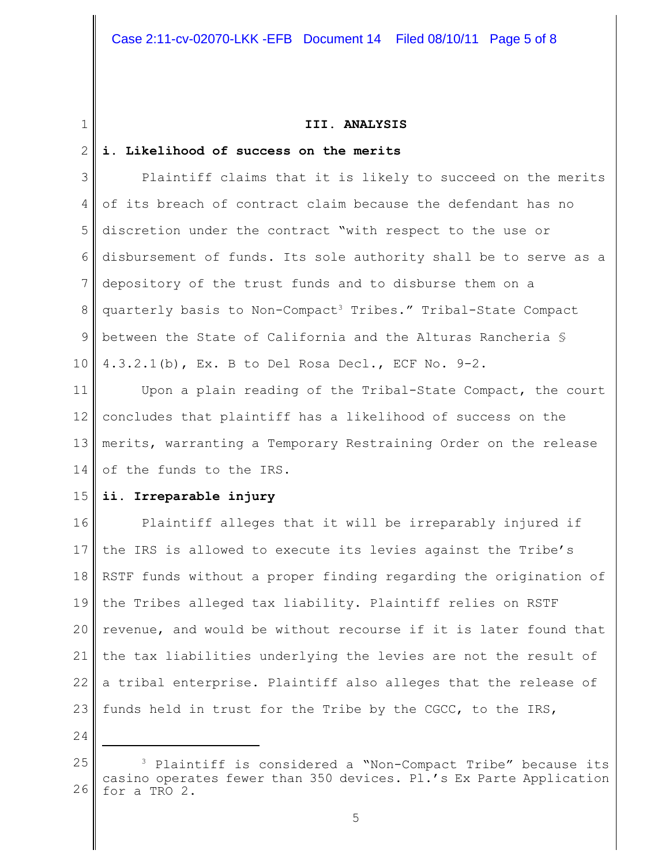### **III. ANALYSIS**

#### 2 **i. Likelihood of success on the merits**

3 4 5 6 7 8 9 10 Plaintiff claims that it is likely to succeed on the merits of its breach of contract claim because the defendant has no discretion under the contract "with respect to the use or disbursement of funds. Its sole authority shall be to serve as a depository of the trust funds and to disburse them on a quarterly basis to Non-Compact<sup>3</sup> Tribes." Tribal-State Compact between the State of California and the Alturas Rancheria § 4.3.2.1(b), Ex. B to Del Rosa Decl., ECF No. 9-2.

11 12 13 14 Upon a plain reading of the Tribal-State Compact, the court concludes that plaintiff has a likelihood of success on the merits, warranting a Temporary Restraining Order on the release of the funds to the IRS.

#### 15 **ii. Irreparable injury**

16 17 18 19 20 21 22 23 Plaintiff alleges that it will be irreparably injured if the IRS is allowed to execute its levies against the Tribe's RSTF funds without a proper finding regarding the origination of the Tribes alleged tax liability. Plaintiff relies on RSTF revenue, and would be without recourse if it is later found that the tax liabilities underlying the levies are not the result of a tribal enterprise. Plaintiff also alleges that the release of funds held in trust for the Tribe by the CGCC, to the IRS,

24

<sup>25</sup> 26  $3$  Plaintiff is considered a "Non-Compact Tribe" because its casino operates fewer than 350 devices. Pl.'s Ex Parte Application for a TRO 2.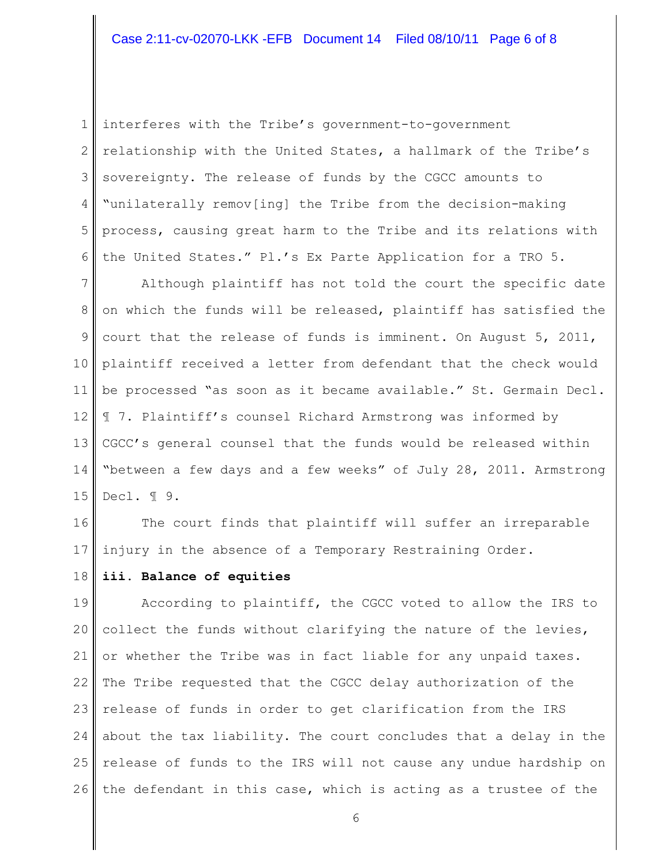1 2 3 4 5 6 interferes with the Tribe's government-to-government relationship with the United States, a hallmark of the Tribe's sovereignty. The release of funds by the CGCC amounts to "unilaterally remov[ing] the Tribe from the decision-making process, causing great harm to the Tribe and its relations with the United States." Pl.'s Ex Parte Application for a TRO 5.

7 8 9 10 11 12 13 14 15 Although plaintiff has not told the court the specific date on which the funds will be released, plaintiff has satisfied the court that the release of funds is imminent. On August 5, 2011, plaintiff received a letter from defendant that the check would be processed "as soon as it became available." St. Germain Decl. ¶ 7. Plaintiff's counsel Richard Armstrong was informed by CGCC's general counsel that the funds would be released within "between a few days and a few weeks" of July 28, 2011. Armstrong Decl. ¶ 9.

16 17 The court finds that plaintiff will suffer an irreparable injury in the absence of a Temporary Restraining Order.

#### 18 **iii. Balance of equities**

19 20 21 22  $23$ 24 25 26 According to plaintiff, the CGCC voted to allow the IRS to collect the funds without clarifying the nature of the levies, or whether the Tribe was in fact liable for any unpaid taxes. The Tribe requested that the CGCC delay authorization of the release of funds in order to get clarification from the IRS about the tax liability. The court concludes that a delay in the release of funds to the IRS will not cause any undue hardship on the defendant in this case, which is acting as a trustee of the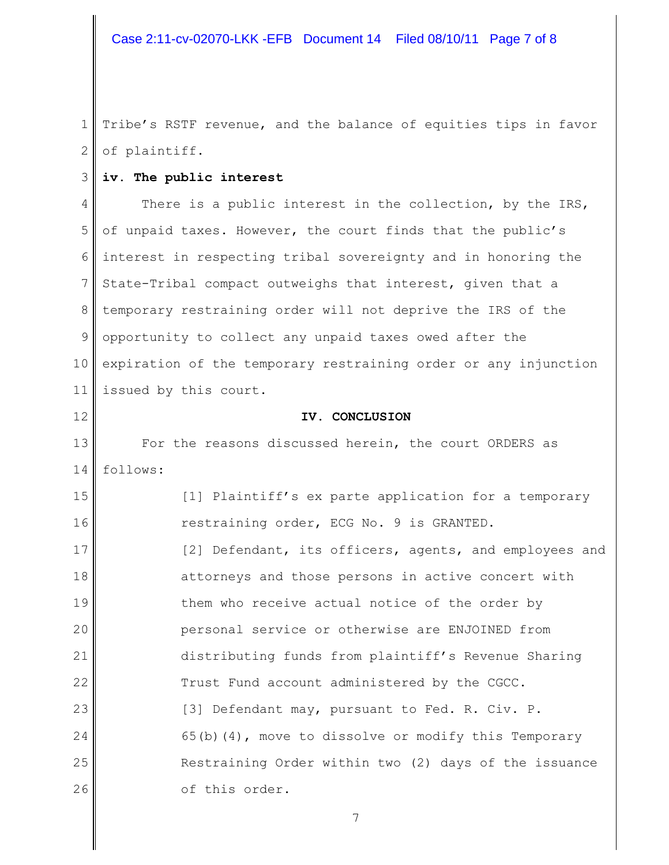1 2 Tribe's RSTF revenue, and the balance of equities tips in favor of plaintiff.

#### 3 **iv. The public interest**

4 5 6 7 8 9 10 11 There is a public interest in the collection, by the IRS, of unpaid taxes. However, the court finds that the public's interest in respecting tribal sovereignty and in honoring the State-Tribal compact outweighs that interest, given that a temporary restraining order will not deprive the IRS of the opportunity to collect any unpaid taxes owed after the expiration of the temporary restraining order or any injunction issued by this court.

12

### **IV. CONCLUSION**

13 14 For the reasons discussed herein, the court ORDERS as follows:

15 16 17 18 19 20 21 22 23 24 25 26 [1] Plaintiff's ex parte application for a temporary restraining order, ECG No. 9 is GRANTED. [2] Defendant, its officers, agents, and employees and attorneys and those persons in active concert with them who receive actual notice of the order by personal service or otherwise are ENJOINED from distributing funds from plaintiff's Revenue Sharing Trust Fund account administered by the CGCC. [3] Defendant may, pursuant to Fed. R. Civ. P. 65(b)(4), move to dissolve or modify this Temporary Restraining Order within two (2) days of the issuance of this order.